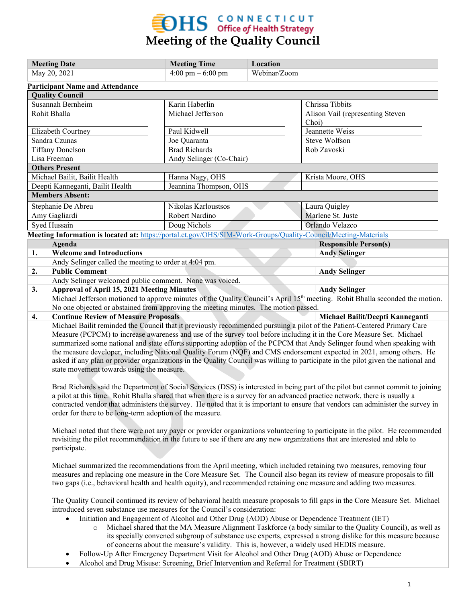

| <b>Meeting Date</b>                                                                                            |                                                                                                                                                                                                           |  | <b>Meeting Time</b><br>Location    |  |  |                                                                                                 |  |
|----------------------------------------------------------------------------------------------------------------|-----------------------------------------------------------------------------------------------------------------------------------------------------------------------------------------------------------|--|------------------------------------|--|--|-------------------------------------------------------------------------------------------------|--|
| May 20, 2021                                                                                                   |                                                                                                                                                                                                           |  | 4:00 pm $-6:00$ pm<br>Webinar/Zoom |  |  |                                                                                                 |  |
| <b>Participant Name and Attendance</b>                                                                         |                                                                                                                                                                                                           |  |                                    |  |  |                                                                                                 |  |
| <b>Quality Council</b>                                                                                         |                                                                                                                                                                                                           |  |                                    |  |  |                                                                                                 |  |
| Susannah Bernheim                                                                                              |                                                                                                                                                                                                           |  | Karin Haberlin                     |  |  | Chrissa Tibbits                                                                                 |  |
| Rohit Bhalla                                                                                                   |                                                                                                                                                                                                           |  | Michael Jefferson                  |  |  | Alison Vail (representing Steven                                                                |  |
|                                                                                                                |                                                                                                                                                                                                           |  |                                    |  |  | Choi)                                                                                           |  |
| Elizabeth Courtney                                                                                             |                                                                                                                                                                                                           |  | Paul Kidwell                       |  |  | Jeannette Weiss                                                                                 |  |
| Sandra Czunas                                                                                                  |                                                                                                                                                                                                           |  | Joe Quaranta                       |  |  | Steve Wolfson                                                                                   |  |
| <b>Tiffany Donelson</b>                                                                                        |                                                                                                                                                                                                           |  | <b>Brad Richards</b>               |  |  | Rob Zavoski                                                                                     |  |
| Lisa Freeman                                                                                                   |                                                                                                                                                                                                           |  | Andy Selinger (Co-Chair)           |  |  |                                                                                                 |  |
| <b>Others Present</b>                                                                                          |                                                                                                                                                                                                           |  |                                    |  |  |                                                                                                 |  |
| Michael Bailit, Bailit Health                                                                                  |                                                                                                                                                                                                           |  | Hanna Nagy, OHS                    |  |  | Krista Moore, OHS                                                                               |  |
| Deepti Kanneganti, Bailit Health                                                                               |                                                                                                                                                                                                           |  | Jeannina Thompson, OHS             |  |  |                                                                                                 |  |
| <b>Members Absent:</b>                                                                                         |                                                                                                                                                                                                           |  |                                    |  |  |                                                                                                 |  |
| Stephanie De Abreu                                                                                             |                                                                                                                                                                                                           |  | Nikolas Karloustsos                |  |  | Laura Quigley                                                                                   |  |
| Amy Gagliardi                                                                                                  |                                                                                                                                                                                                           |  | Robert Nardino                     |  |  | Marlene St. Juste                                                                               |  |
| Syed Hussain                                                                                                   |                                                                                                                                                                                                           |  | Doug Nichols                       |  |  | Orlando Velazco                                                                                 |  |
| Meeting Information is located at: https://portal.ct.gov/OHS/SIM-Work-Groups/Quality-Council/Meeting-Materials |                                                                                                                                                                                                           |  |                                    |  |  |                                                                                                 |  |
|                                                                                                                | Agenda                                                                                                                                                                                                    |  |                                    |  |  | <b>Responsible Person(s)</b>                                                                    |  |
| 1.                                                                                                             | <b>Welcome and Introductions</b>                                                                                                                                                                          |  |                                    |  |  | <b>Andy Selinger</b>                                                                            |  |
|                                                                                                                | Andy Selinger called the meeting to order at 4:04 pm.                                                                                                                                                     |  |                                    |  |  |                                                                                                 |  |
| 2.                                                                                                             | <b>Public Comment</b>                                                                                                                                                                                     |  |                                    |  |  | <b>Andy Selinger</b>                                                                            |  |
|                                                                                                                | Andy Selinger welcomed public comment. None was voiced.                                                                                                                                                   |  |                                    |  |  |                                                                                                 |  |
| 3.                                                                                                             | <b>Approval of April 15, 2021 Meeting Minutes</b><br><b>Andy Selinger</b>                                                                                                                                 |  |                                    |  |  |                                                                                                 |  |
|                                                                                                                | Michael Jefferson motioned to approve minutes of the Quality Council's April 15th meeting. Rohit Bhalla seconded the motion.                                                                              |  |                                    |  |  |                                                                                                 |  |
|                                                                                                                | No one objected or abstained from approving the meeting minutes. The motion passed.                                                                                                                       |  |                                    |  |  |                                                                                                 |  |
| 4.                                                                                                             | <b>Continue Review of Measure Proposals</b><br>Michael Bailit/Deepti Kanneganti                                                                                                                           |  |                                    |  |  |                                                                                                 |  |
|                                                                                                                | Michael Bailit reminded the Council that it previously recommended pursuing a pilot of the Patient-Centered Primary Care                                                                                  |  |                                    |  |  |                                                                                                 |  |
|                                                                                                                | Measure (PCPCM) to increase awareness and use of the survey tool before including it in the Core Measure Set. Michael                                                                                     |  |                                    |  |  |                                                                                                 |  |
|                                                                                                                | summarized some national and state efforts supporting adoption of the PCPCM that Andy Selinger found when speaking with                                                                                   |  |                                    |  |  |                                                                                                 |  |
|                                                                                                                | the measure developer, including National Quality Forum (NQF) and CMS endorsement expected in 2021, among others. He                                                                                      |  |                                    |  |  |                                                                                                 |  |
|                                                                                                                | asked if any plan or provider organizations in the Quality Council was willing to participate in the pilot given the national and<br>state movement towards using the measure.                            |  |                                    |  |  |                                                                                                 |  |
|                                                                                                                |                                                                                                                                                                                                           |  |                                    |  |  |                                                                                                 |  |
|                                                                                                                | Brad Richards said the Department of Social Services (DSS) is interested in being part of the pilot but cannot commit to joining                                                                          |  |                                    |  |  |                                                                                                 |  |
|                                                                                                                | a pilot at this time. Rohit Bhalla shared that when there is a survey for an advanced practice network, there is usually a                                                                                |  |                                    |  |  |                                                                                                 |  |
|                                                                                                                | contracted vendor that administers the survey. He noted that it is important to ensure that vendors can administer the survey in                                                                          |  |                                    |  |  |                                                                                                 |  |
|                                                                                                                | order for there to be long-term adoption of the measure.                                                                                                                                                  |  |                                    |  |  |                                                                                                 |  |
|                                                                                                                |                                                                                                                                                                                                           |  |                                    |  |  |                                                                                                 |  |
|                                                                                                                | Michael noted that there were not any payer or provider organizations volunteering to participate in the pilot. He recommended                                                                            |  |                                    |  |  |                                                                                                 |  |
|                                                                                                                | revisiting the pilot recommendation in the future to see if there are any new organizations that are interested and able to                                                                               |  |                                    |  |  |                                                                                                 |  |
|                                                                                                                | participate.                                                                                                                                                                                              |  |                                    |  |  |                                                                                                 |  |
|                                                                                                                |                                                                                                                                                                                                           |  |                                    |  |  |                                                                                                 |  |
|                                                                                                                | Michael summarized the recommendations from the April meeting, which included retaining two measures, removing four                                                                                       |  |                                    |  |  |                                                                                                 |  |
|                                                                                                                | measures and replacing one measure in the Core Measure Set. The Council also began its review of measure proposals to fill                                                                                |  |                                    |  |  |                                                                                                 |  |
|                                                                                                                | two gaps (i.e., behavioral health and health equity), and recommended retaining one measure and adding two measures.                                                                                      |  |                                    |  |  |                                                                                                 |  |
|                                                                                                                |                                                                                                                                                                                                           |  |                                    |  |  |                                                                                                 |  |
|                                                                                                                | The Quality Council continued its review of behavioral health measure proposals to fill gaps in the Core Measure Set. Michael                                                                             |  |                                    |  |  |                                                                                                 |  |
|                                                                                                                | introduced seven substance use measures for the Council's consideration:                                                                                                                                  |  |                                    |  |  |                                                                                                 |  |
|                                                                                                                | Initiation and Engagement of Alcohol and Other Drug (AOD) Abuse or Dependence Treatment (IET)                                                                                                             |  |                                    |  |  |                                                                                                 |  |
|                                                                                                                | Michael shared that the MA Measure Alignment Taskforce (a body similar to the Quality Council), as well as<br>$\circ$                                                                                     |  |                                    |  |  |                                                                                                 |  |
|                                                                                                                | its specially convened subgroup of substance use experts, expressed a strong dislike for this measure because<br>of concerns about the measure's validity. This is, however, a widely used HEDIS measure. |  |                                    |  |  |                                                                                                 |  |
|                                                                                                                |                                                                                                                                                                                                           |  |                                    |  |  |                                                                                                 |  |
|                                                                                                                | $\bullet$                                                                                                                                                                                                 |  |                                    |  |  | Follow-Up After Emergency Department Visit for Alcohol and Other Drug (AOD) Abuse or Dependence |  |
|                                                                                                                | Alcohol and Drug Misuse: Screening, Brief Intervention and Referral for Treatment (SBIRT)<br>$\bullet$                                                                                                    |  |                                    |  |  |                                                                                                 |  |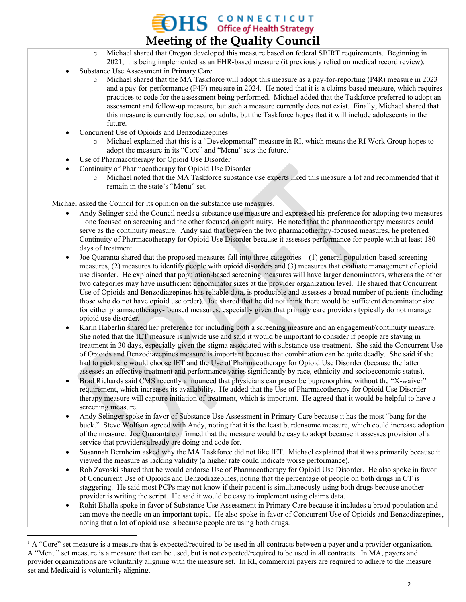$\rm{DHS}$  CONNECTICUT office of Health Strategy **Meeting of the Quality Council**

- o Michael shared that Oregon developed this measure based on federal SBIRT requirements. Beginning in 2021, it is being implemented as an EHR-based measure (it previously relied on medical record review).
- Substance Use Assessment in Primary Care
	- o Michael shared that the MA Taskforce will adopt this measure as a pay-for-reporting (P4R) measure in 2023 and a pay-for-performance (P4P) measure in 2024. He noted that it is a claims-based measure, which requires practices to code for the assessment being performed. Michael added that the Taskforce preferred to adopt an assessment and follow-up measure, but such a measure currently does not exist. Finally, Michael shared that this measure is currently focused on adults, but the Taskforce hopes that it will include adolescents in the future.
- Concurrent Use of Opioids and Benzodiazepines
	- Michael explained that this is a "Developmental" measure in RI, which means the RI Work Group hopes to adopt the measure in its "Core" and "Menu" sets the future.<sup>[1](#page-1-0)</sup>
- Use of Pharmacotherapy for Opioid Use Disorder
- Continuity of Pharmacotherapy for Opioid Use Disorder
	- o Michael noted that the MA Taskforce substance use experts liked this measure a lot and recommended that it remain in the state's "Menu" set.

Michael asked the Council for its opinion on the substance use measures.

- Andy Selinger said the Council needs a substance use measure and expressed his preference for adopting two measures – one focused on screening and the other focused on continuity. He noted that the pharmacotherapy measures could serve as the continuity measure. Andy said that between the two pharmacotherapy-focused measures, he preferred Continuity of Pharmacotherapy for Opioid Use Disorder because it assesses performance for people with at least 180 days of treatment.
- Joe Quaranta shared that the proposed measures fall into three categories  $(1)$  general population-based screening measures, (2) measures to identify people with opioid disorders and (3) measures that evaluate management of opioid use disorder. He explained that population-based screening measures will have larger denominators, whereas the other two categories may have insufficient denominator sizes at the provider organization level. He shared that Concurrent Use of Opioids and Benzodiazepines has reliable data, is producible and assesses a broad number of patients (including those who do not have opioid use order). Joe shared that he did not think there would be sufficient denominator size for either pharmacotherapy-focused measures, especially given that primary care providers typically do not manage opioid use disorder.
- Karin Haberlin shared her preference for including both a screening measure and an engagement/continuity measure. She noted that the IET measure is in wide use and said it would be important to consider if people are staying in treatment in 30 days, especially given the stigma associated with substance use treatment. She said the Concurrent Use of Opioids and Benzodiazepines measure is important because that combination can be quite deadly. She said if she had to pick, she would choose IET and the Use of Pharmacotherapy for Opioid Use Disorder (because the latter assesses an effective treatment and performance varies significantly by race, ethnicity and socioeconomic status).
- Brad Richards said CMS recently announced that physicians can prescribe buprenorphine without the "X-waiver" requirement, which increases its availability. He added that the Use of Pharmacotherapy for Opioid Use Disorder therapy measure will capture initiation of treatment, which is important. He agreed that it would be helpful to have a screening measure.
- Andy Selinger spoke in favor of Substance Use Assessment in Primary Care because it has the most "bang for the buck." Steve Wolfson agreed with Andy, noting that it is the least burdensome measure, which could increase adoption of the measure. Joe Quaranta confirmed that the measure would be easy to adopt because it assesses provision of a service that providers already are doing and code for.
- Susannah Bernheim asked why the MA Taskforce did not like IET. Michael explained that it was primarily because it viewed the measure as lacking validity (a higher rate could indicate worse performance).
- Rob Zavoski shared that he would endorse Use of Pharmacotherapy for Opioid Use Disorder. He also spoke in favor of Concurrent Use of Opioids and Benzodiazepines, noting that the percentage of people on both drugs in CT is staggering. He said most PCPs may not know if their patient is simultaneously using both drugs because another provider is writing the script. He said it would be easy to implement using claims data.
- Rohit Bhalla spoke in favor of Substance Use Assessment in Primary Care because it includes a broad population and can move the needle on an important topic. He also spoke in favor of Concurrent Use of Opioids and Benzodiazepines, noting that a lot of opioid use is because people are using both drugs.

<span id="page-1-0"></span> $1 \text{ A}$  "Core" set measure is a measure that is expected/required to be used in all contracts between a payer and a provider organization. A "Menu" set measure is a measure that can be used, but is not expected/required to be used in all contracts. In MA, payers and provider organizations are voluntarily aligning with the measure set. In RI, commercial payers are required to adhere to the measure set and Medicaid is voluntarily aligning.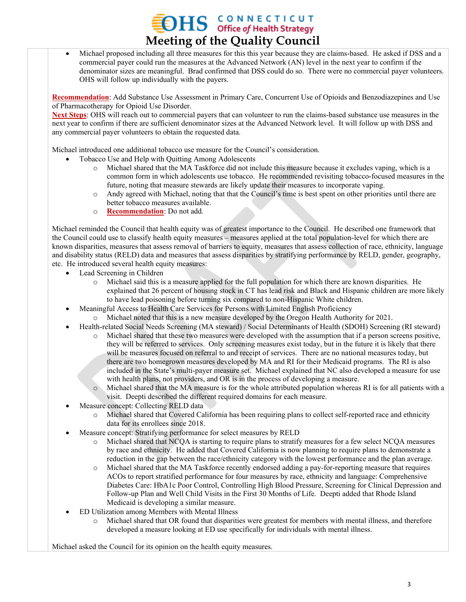# **OHS** CONNECTICUT **Meeting of the Quality Council**

• Michael proposed including all three measures for this this year because they are claims-based. He asked if DSS and a commercial payer could run the measures at the Advanced Network (AN) level in the next year to confirm if the denominator sizes are meaningful. Brad confirmed that DSS could do so. There were no commercial payer volunteers. OHS will follow up individually with the payers.

**Recommendation**: Add Substance Use Assessment in Primary Care, Concurrent Use of Opioids and Benzodiazepines and Use of Pharmacotherapy for Opioid Use Disorder.

**Next Steps**: OHS will reach out to commercial payers that can volunteer to run the claims-based substance use measures in the next year to confirm if there are sufficient denominator sizes at the Advanced Network level. It will follow up with DSS and any commercial payer volunteers to obtain the requested data.

Michael introduced one additional tobacco use measure for the Council's consideration.

- Tobacco Use and Help with Quitting Among Adolescents
	- o Michael shared that the MA Taskforce did not include this measure because it excludes vaping, which is a common form in which adolescents use tobacco. He recommended revisiting tobacco-focused measures in the future, noting that measure stewards are likely update their measures to incorporate vaping.
	- Andy agreed with Michael, noting that that the Council's time is best spent on other priorities until there are better tobacco measures available.
	- o **Recommendation**: Do not add.

Michael reminded the Council that health equity was of greatest importance to the Council. He described one framework that the Council could use to classify health equity measures – measures applied at the total population-level for which there are known disparities, measures that assess removal of barriers to equity, measures that assess collection of race, ethnicity, language and disability status (RELD) data and measures that assess disparities by stratifying performance by RELD, gender, geography, etc. He introduced several health equity measures:

- Lead Screening in Children
	- o Michael said this is a measure applied for the full population for which there are known disparities. He explained that 26 percent of housing stock in CT has lead risk and Black and Hispanic children are more likely to have lead poisoning before turning six compared to non-Hispanic White children.
- Meaningful Access to Health Care Services for Persons with Limited English Proficiency
	- o Michael noted that this is a new measure developed by the Oregon Health Authority for 2021.
- Health-related Social Needs Screening (MA steward) / Social Determinants of Health (SDOH) Screening (RI steward)
	- o Michael shared that these two measures were developed with the assumption that if a person screens positive, they will be referred to services. Only screening measures exist today, but in the future it is likely that there will be measures focused on referral to and receipt of services. There are no national measures today, but there are two homegrown measures developed by MA and RI for their Medicaid programs. The RI is also included in the State's multi-payer measure set. Michael explained that NC also developed a measure for use with health plans, not providers, and OR is in the process of developing a measure.
	- o Michael shared that the MA measure is for the whole attributed population whereas RI is for all patients with a visit. Deepti described the different required domains for each measure.
- Measure concept: Collecting RELD data
	- o Michael shared that Covered California has been requiring plans to collect self-reported race and ethnicity data for its enrollees since 2018.
- Measure concept: Stratifying performance for select measures by RELD
	- o Michael shared that NCQA is starting to require plans to stratify measures for a few select NCQA measures by race and ethnicity. He added that Covered California is now planning to require plans to demonstrate a reduction in the gap between the race/ethnicity category with the lowest performance and the plan average.
	- o Michael shared that the MA Taskforce recently endorsed adding a pay-for-reporting measure that requires ACOs to report stratified performance for four measures by race, ethnicity and language: Comprehensive Diabetes Care: HbA1c Poor Control, Controlling High Blood Pressure, Screening for Clinical Depression and Follow-up Plan and Well Child Visits in the First 30 Months of Life. Deepti added that Rhode Island Medicaid is developing a similar measure.
- ED Utilization among Members with Mental Illness
	- o Michael shared that OR found that disparities were greatest for members with mental illness, and therefore developed a measure looking at ED use specifically for individuals with mental illness.

Michael asked the Council for its opinion on the health equity measures.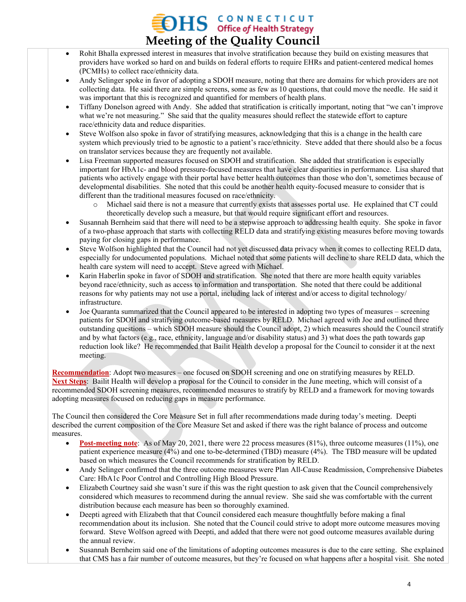# **OHS** *GONNECTICUT* **Meeting of the Quality Council**

- Rohit Bhalla expressed interest in measures that involve stratification because they build on existing measures that providers have worked so hard on and builds on federal efforts to require EHRs and patient-centered medical homes (PCMHs) to collect race/ethnicity data.
- Andy Selinger spoke in favor of adopting a SDOH measure, noting that there are domains for which providers are not collecting data. He said there are simple screens, some as few as 10 questions, that could move the needle. He said it was important that this is recognized and quantified for members of health plans.
- Tiffany Donelson agreed with Andy. She added that stratification is critically important, noting that "we can't improve what we're not measuring." She said that the quality measures should reflect the statewide effort to capture race/ethnicity data and reduce disparities.
- Steve Wolfson also spoke in favor of stratifying measures, acknowledging that this is a change in the health care system which previously tried to be agnostic to a patient's race/ethnicity. Steve added that there should also be a focus on translator services because they are frequently not available.
- Lisa Freeman supported measures focused on SDOH and stratification. She added that stratification is especially important for HbA1c- and blood pressure-focused measures that have clear disparities in performance. Lisa shared that patients who actively engage with their portal have better health outcomes than those who don't, sometimes because of developmental disabilities. She noted that this could be another health equity-focused measure to consider that is different than the traditional measures focused on race/ethnicity.
	- Michael said there is not a measure that currently exists that assesses portal use. He explained that CT could theoretically develop such a measure, but that would require significant effort and resources.
- Susannah Bernheim said that there will need to be a stepwise approach to addressing health equity. She spoke in favor of a two-phase approach that starts with collecting RELD data and stratifying existing measures before moving towards paying for closing gaps in performance.
- Steve Wolfson highlighted that the Council had not yet discussed data privacy when it comes to collecting RELD data, especially for undocumented populations. Michael noted that some patients will decline to share RELD data, which the health care system will need to accept. Steve agreed with Michael.
- Karin Haberlin spoke in favor of SDOH and stratification. She noted that there are more health equity variables beyond race/ethnicity, such as access to information and transportation. She noted that there could be additional reasons for why patients may not use a portal, including lack of interest and/or access to digital technology/ infrastructure.
- Joe Quaranta summarized that the Council appeared to be interested in adopting two types of measures screening patients for SDOH and stratifying outcome-based measures by RELD. Michael agreed with Joe and outlined three outstanding questions – which SDOH measure should the Council adopt, 2) which measures should the Council stratify and by what factors (e.g., race, ethnicity, language and/or disability status) and 3) what does the path towards gap reduction look like? He recommended that Bailit Health develop a proposal for the Council to consider it at the next meeting.

**Recommendation**: Adopt two measures – one focused on SDOH screening and one on stratifying measures by RELD. **Next Steps**: Bailit Health will develop a proposal for the Council to consider in the June meeting, which will consist of a recommended SDOH screening measures, recommended measures to stratify by RELD and a framework for moving towards adopting measures focused on reducing gaps in measure performance.

The Council then considered the Core Measure Set in full after recommendations made during today's meeting. Deepti described the current composition of the Core Measure Set and asked if there was the right balance of process and outcome measures.

- **Post-meeting note**: As of May 20, 2021, there were 22 process measures (81%), three outcome measures (11%), one patient experience measure (4%) and one to-be-determined (TBD) measure (4%). The TBD measure will be updated based on which measures the Council recommends for stratification by RELD.
- Andy Selinger confirmed that the three outcome measures were Plan All-Cause Readmission, Comprehensive Diabetes Care: HbA1c Poor Control and Controlling High Blood Pressure.
- Elizabeth Courtney said she wasn't sure if this was the right question to ask given that the Council comprehensively considered which measures to recommend during the annual review. She said she was comfortable with the current distribution because each measure has been so thoroughly examined.
- Deepti agreed with Elizabeth that that Council considered each measure thoughtfully before making a final recommendation about its inclusion. She noted that the Council could strive to adopt more outcome measures moving forward. Steve Wolfson agreed with Deepti, and added that there were not good outcome measures available during the annual review.
- Susannah Bernheim said one of the limitations of adopting outcomes measures is due to the care setting. She explained that CMS has a fair number of outcome measures, but they're focused on what happens after a hospital visit. She noted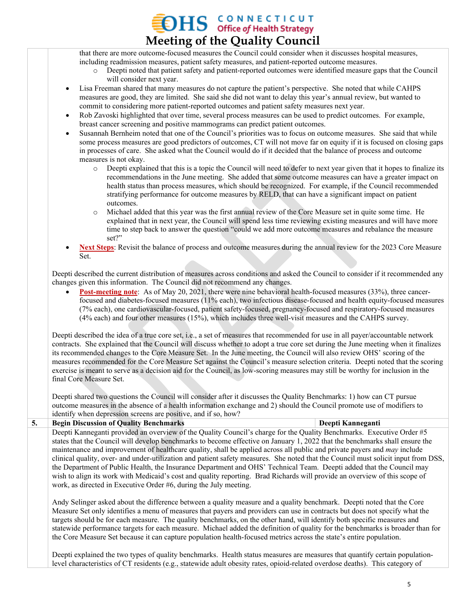### **OHS GONNECTICUT Meeting of the Quality Council**

that there are more outcome-focused measures the Council could consider when it discusses hospital measures, including readmission measures, patient safety measures, and patient-reported outcome measures.

- o Deepti noted that patient safety and patient-reported outcomes were identified measure gaps that the Council will consider next year.
- Lisa Freeman shared that many measures do not capture the patient's perspective. She noted that while CAHPS measures are good, they are limited. She said she did not want to delay this year's annual review, but wanted to commit to considering more patient-reported outcomes and patient safety measures next year.
- Rob Zavoski highlighted that over time, several process measures can be used to predict outcomes. For example, breast cancer screening and positive mammograms can predict patient outcomes.
- Susannah Bernheim noted that one of the Council's priorities was to focus on outcome measures. She said that while some process measures are good predictors of outcomes, CT will not move far on equity if it is focused on closing gaps in processes of care. She asked what the Council would do if it decided that the balance of process and outcome measures is not okay.
	- o Deepti explained that this is a topic the Council will need to defer to next year given that it hopes to finalize its recommendations in the June meeting. She added that some outcome measures can have a greater impact on health status than process measures, which should be recognized. For example, if the Council recommended stratifying performance for outcome measures by RELD, that can have a significant impact on patient outcomes.
	- Michael added that this year was the first annual review of the Core Measure set in quite some time. He explained that in next year, the Council will spend less time reviewing existing measures and will have more time to step back to answer the question "could we add more outcome measures and rebalance the measure set?"
- **Next Steps**: Revisit the balance of process and outcome measures during the annual review for the 2023 Core Measure Set.

Deepti described the current distribution of measures across conditions and asked the Council to consider if it recommended any changes given this information. The Council did not recommend any changes.

**Post-meeting note**: As of May 20, 2021, there were nine behavioral health-focused measures (33%), three cancerfocused and diabetes-focused measures (11% each), two infectious disease-focused and health equity-focused measures (7% each), one cardiovascular-focused, patient safety-focused, pregnancy-focused and respiratory-focused measures (4% each) and four other measures (15%), which includes three well-visit measures and the CAHPS survey.

Deepti described the idea of a true core set, i.e., a set of measures that recommended for use in all payer/accountable network contracts. She explained that the Council will discuss whether to adopt a true core set during the June meeting when it finalizes its recommended changes to the Core Measure Set. In the June meeting, the Council will also review OHS' scoring of the measures recommended for the Core Measure Set against the Council's measure selection criteria. Deepti noted that the scoring exercise is meant to serve as a decision aid for the Council, as low-scoring measures may still be worthy for inclusion in the final Core Measure Set.

Deepti shared two questions the Council will consider after it discusses the Quality Benchmarks: 1) how can CT pursue outcome measures in the absence of a health information exchange and 2) should the Council promote use of modifiers to identify when depression screens are positive, and if so, how?

#### **5. Begin Discussion of Quality Benchmarks Deepti Kanneganti** Deepti Kanneganti provided an overview of the Quality Council's charge for the Quality Benchmarks. Executive Order #5 states that the Council will develop benchmarks to become effective on January 1, 2022 that the benchmarks shall ensure the maintenance and improvement of healthcare quality, shall be applied across all public and private payers and *may* include clinical quality, over- and under-utilization and patient safety measures. She noted that the Council must solicit input from DSS, the Department of Public Health, the Insurance Department and OHS' Technical Team. Deepti added that the Council may wish to align its work with Medicaid's cost and quality reporting. Brad Richards will provide an overview of this scope of work, as directed in Executive Order #6, during the July meeting.

Andy Selinger asked about the difference between a quality measure and a quality benchmark. Deepti noted that the Core Measure Set only identifies a menu of measures that payers and providers can use in contracts but does not specify what the targets should be for each measure. The quality benchmarks, on the other hand, will identify both specific measures and statewide performance targets for each measure. Michael added the definition of quality for the benchmarks is broader than for the Core Measure Set because it can capture population health-focused metrics across the state's entire population.

Deepti explained the two types of quality benchmarks. Health status measures are measures that quantify certain populationlevel characteristics of CT residents (e.g., statewide adult obesity rates, opioid-related overdose deaths). This category of